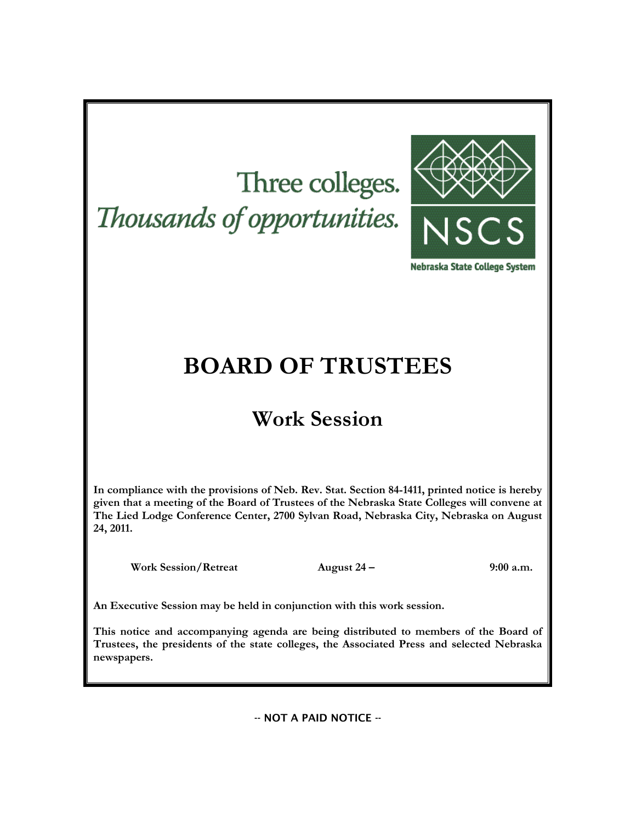# Three colleges. Thousands of opportunities.



Nebraska State College System

## **BOARD OF TRUSTEES**

## **Work Session**

**In compliance with the provisions of Neb. Rev. Stat. Section 84-1411, printed notice is hereby given that a meeting of the Board of Trustees of the Nebraska State Colleges will convene at The Lied Lodge Conference Center, 2700 Sylvan Road, Nebraska City, Nebraska on August 24, 2011.**

**Work Session/Retreat August 24 – 9:00 a.m.**

**An Executive Session may be held in conjunction with this work session.**

**This notice and accompanying agenda are being distributed to members of the Board of Trustees, the presidents of the state colleges, the Associated Press and selected Nebraska newspapers.**

-- NOT A PAID NOTICE --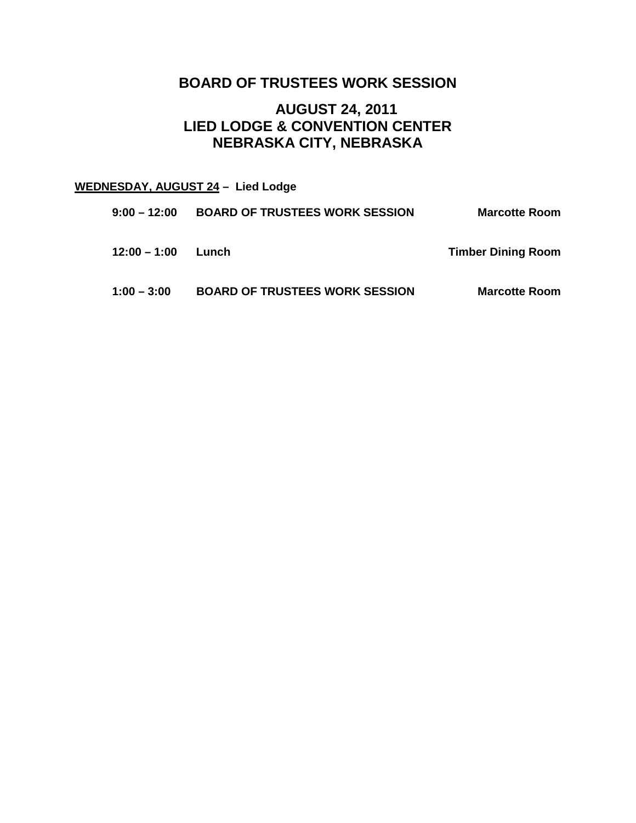## **BOARD OF TRUSTEES WORK SESSION**

## **AUGUST 24, 2011 LIED LODGE & CONVENTION CENTER NEBRASKA CITY, NEBRASKA**

## **WEDNESDAY, AUGUST 24 – Lied Lodge**

| 9:00 – 12:00  | <b>BOARD OF TRUSTEES WORK SESSION</b> | <b>Marcotte Room</b>      |
|---------------|---------------------------------------|---------------------------|
| 12:00 – 1:00  | Lunch                                 | <b>Timber Dining Room</b> |
| $1:00 - 3:00$ | <b>BOARD OF TRUSTEES WORK SESSION</b> | <b>Marcotte Room</b>      |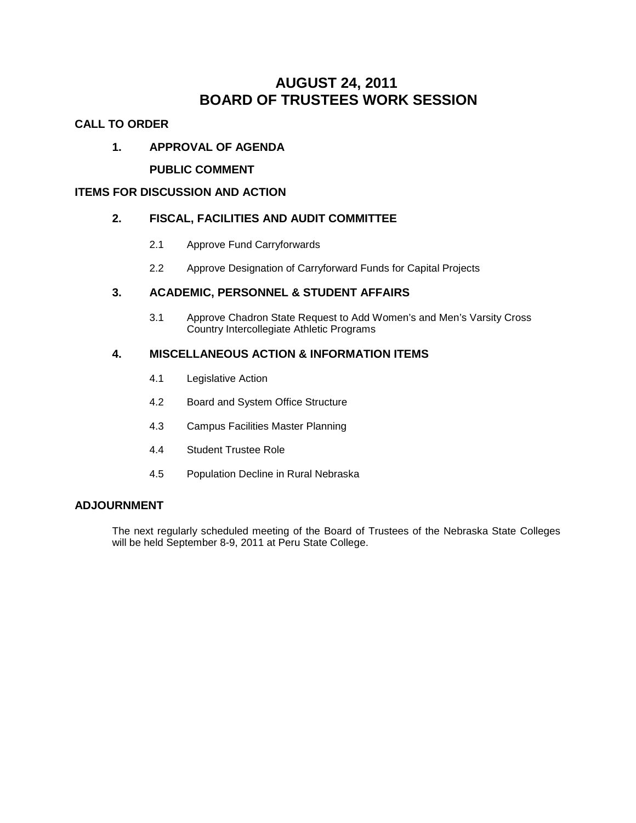## **AUGUST 24, 2011 BOARD OF TRUSTEES WORK SESSION**

#### **CALL TO ORDER**

#### **1. APPROVAL OF AGENDA**

#### **PUBLIC COMMENT**

#### **ITEMS FOR DISCUSSION AND ACTION**

#### **2. FISCAL, FACILITIES AND AUDIT COMMITTEE**

- 2.1 Approve Fund Carryforwards
- 2.2 Approve Designation of Carryforward Funds for Capital Projects

#### **3. ACADEMIC, PERSONNEL & STUDENT AFFAIRS**

3.1 Approve Chadron State Request to Add Women's and Men's Varsity Cross Country Intercollegiate Athletic Programs

#### **4. MISCELLANEOUS ACTION & INFORMATION ITEMS**

- 4.1 Legislative Action
- 4.2 Board and System Office Structure
- 4.3 Campus Facilities Master Planning
- 4.4 Student Trustee Role
- 4.5 Population Decline in Rural Nebraska

#### **ADJOURNMENT**

The next regularly scheduled meeting of the Board of Trustees of the Nebraska State Colleges will be held September 8-9, 2011 at Peru State College.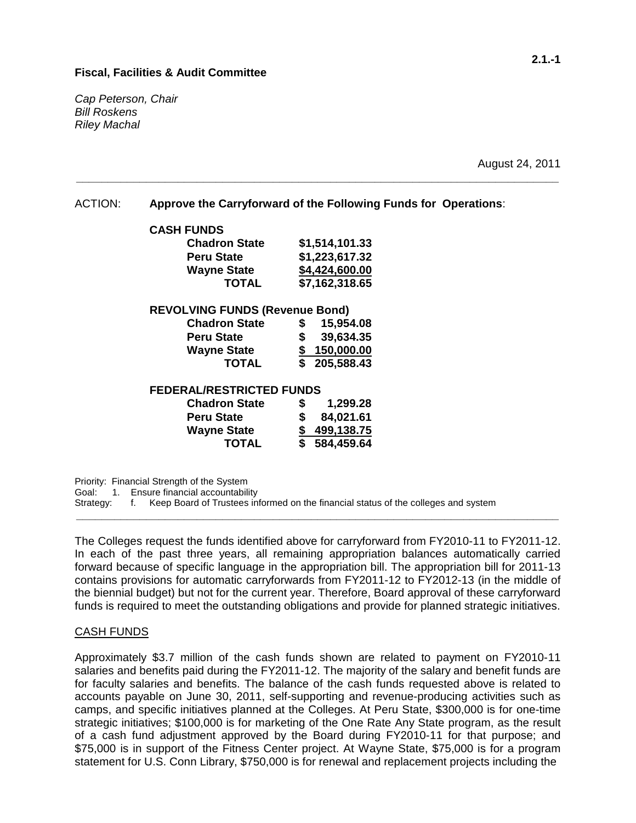#### **Fiscal, Facilities & Audit Committee**

*Cap Peterson, Chair Bill Roskens Riley Machal*

August 24, 2011

ACTION: **Approve the Carryforward of the Following Funds for Operations**:

**\_\_\_\_\_\_\_\_\_\_\_\_\_\_\_\_\_\_\_\_\_\_\_\_\_\_\_\_\_\_\_\_\_\_\_\_\_\_\_\_\_\_\_\_\_\_\_\_\_\_\_\_\_\_\_\_\_\_\_\_\_\_\_\_\_\_\_\_\_\_\_\_\_\_\_\_**

| <b>CASH FUNDS</b>                     |                                         |  |  |  |  |
|---------------------------------------|-----------------------------------------|--|--|--|--|
| <b>Chadron State</b>                  | \$1,514,101.33                          |  |  |  |  |
| <b>Peru State</b>                     | \$1,223,617.32                          |  |  |  |  |
| <b>Wayne State</b>                    | \$4,424,600.00                          |  |  |  |  |
| <b>TOTAL</b>                          | \$7,162,318.65                          |  |  |  |  |
| <b>REVOLVING FUNDS (Revenue Bond)</b> |                                         |  |  |  |  |
| <b>Chadron State</b>                  | 15,954.08<br>S                          |  |  |  |  |
| <b>Peru State</b>                     | \$<br>39,634.35                         |  |  |  |  |
| <b>Wayne State</b>                    | 150,000.00<br>\$                        |  |  |  |  |
| TOTAL                                 | $\boldsymbol{\mathsf{s}}$<br>205,588.43 |  |  |  |  |
| <b>FEDERAL/RESTRICTED FUNDS</b>       |                                         |  |  |  |  |

## **Chadron State \$ 1,299.28**

| <b>Chadron State</b> | ъ  | 1,299.28     |
|----------------------|----|--------------|
| <b>Peru State</b>    | S. | 84,021.61    |
| <b>Wayne State</b>   |    | \$499,138.75 |
| <b>TOTAL</b>         |    | \$584,459.64 |

Priority: Financial Strength of the System

Goal: 1. Ensure financial accountability<br>Strategy: f. Keep Board of Trustees in

f. Keep Board of Trustees informed on the financial status of the colleges and system

The Colleges request the funds identified above for carryforward from FY2010-11 to FY2011-12. In each of the past three years, all remaining appropriation balances automatically carried forward because of specific language in the appropriation bill. The appropriation bill for 2011-13 contains provisions for automatic carryforwards from FY2011-12 to FY2012-13 (in the middle of the biennial budget) but not for the current year. Therefore, Board approval of these carryforward funds is required to meet the outstanding obligations and provide for planned strategic initiatives.

**\_\_\_\_\_\_\_\_\_\_\_\_\_\_\_\_\_\_\_\_\_\_\_\_\_\_\_\_\_\_\_\_\_\_\_\_\_\_\_\_\_\_\_\_\_\_\_\_\_\_\_\_\_\_\_\_\_\_\_\_\_\_\_\_\_\_\_\_\_\_\_\_\_\_\_\_**

#### CASH FUNDS

Approximately \$3.7 million of the cash funds shown are related to payment on FY2010-11 salaries and benefits paid during the FY2011-12. The majority of the salary and benefit funds are for faculty salaries and benefits. The balance of the cash funds requested above is related to accounts payable on June 30, 2011, self-supporting and revenue-producing activities such as camps, and specific initiatives planned at the Colleges. At Peru State, \$300,000 is for one-time strategic initiatives; \$100,000 is for marketing of the One Rate Any State program, as the result of a cash fund adjustment approved by the Board during FY2010-11 for that purpose; and \$75,000 is in support of the Fitness Center project. At Wayne State, \$75,000 is for a program statement for U.S. Conn Library, \$750,000 is for renewal and replacement projects including the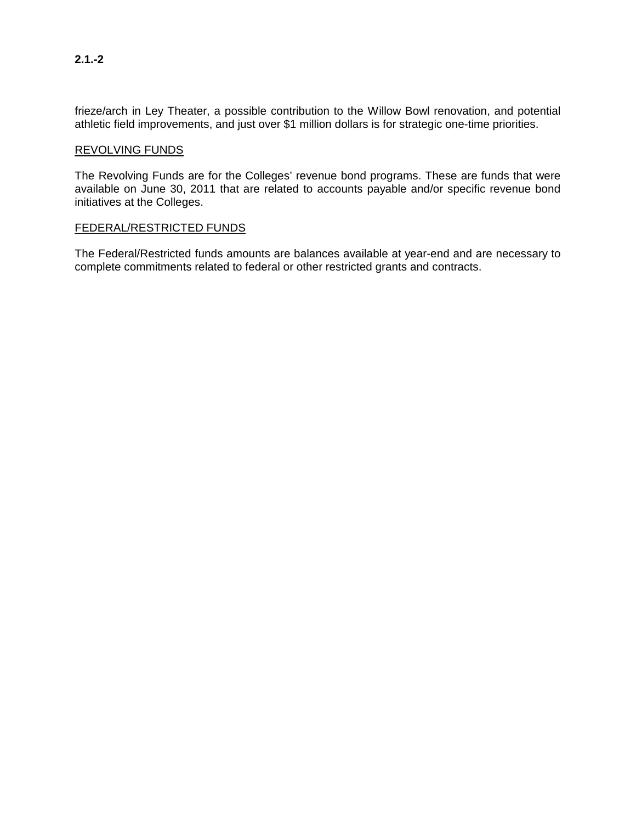frieze/arch in Ley Theater, a possible contribution to the Willow Bowl renovation, and potential athletic field improvements, and just over \$1 million dollars is for strategic one-time priorities.

#### REVOLVING FUNDS

The Revolving Funds are for the Colleges' revenue bond programs. These are funds that were available on June 30, 2011 that are related to accounts payable and/or specific revenue bond initiatives at the Colleges.

#### FEDERAL/RESTRICTED FUNDS

The Federal/Restricted funds amounts are balances available at year-end and are necessary to complete commitments related to federal or other restricted grants and contracts.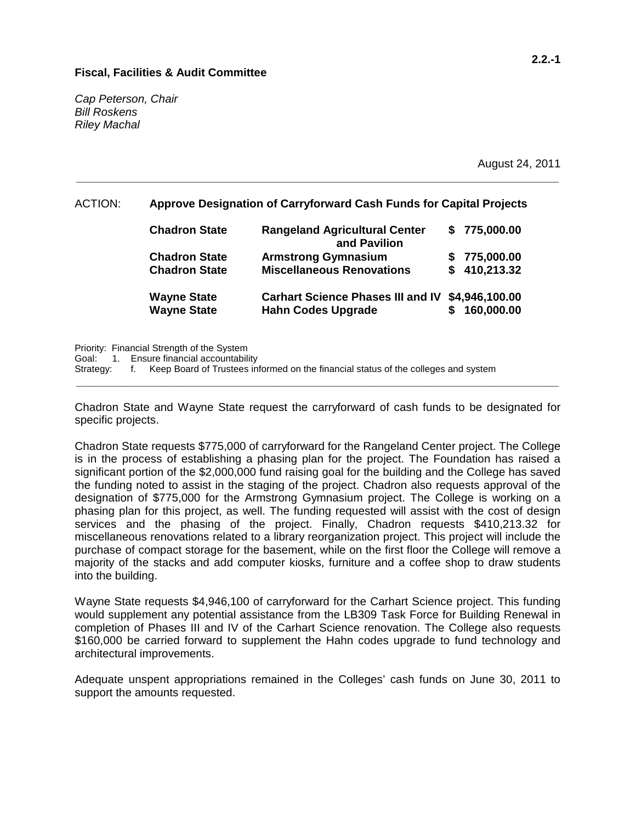#### **Fiscal, Facilities & Audit Committee**

*Cap Peterson, Chair Bill Roskens Riley Machal*

August 24, 2011

#### ACTION: **Approve Designation of Carryforward Cash Funds for Capital Projects**

**\_\_\_\_\_\_\_\_\_\_\_\_\_\_\_\_\_\_\_\_\_\_\_\_\_\_\_\_\_\_\_\_\_\_\_\_\_\_\_\_\_\_\_\_\_\_\_\_\_\_\_\_\_\_\_\_\_\_\_\_\_\_\_\_\_\_\_\_\_\_\_\_\_\_\_\_**

| <b>Chadron State</b> | <b>Rangeland Agricultural Center</b><br>and Pavilion | \$775,000.00   |
|----------------------|------------------------------------------------------|----------------|
| <b>Chadron State</b> | <b>Armstrong Gymnasium</b>                           | \$775,000.00   |
| <b>Chadron State</b> | <b>Miscellaneous Renovations</b>                     | \$410,213.32   |
| <b>Wayne State</b>   | <b>Carhart Science Phases III and IV</b>             | \$4,946,100.00 |
| <b>Wayne State</b>   | <b>Hahn Codes Upgrade</b>                            | 160,000.00     |

Priority: Financial Strength of the System

Goal: 1. Ensure financial accountability

Strategy: f. Keep Board of Trustees informed on the financial status of the colleges and system

Chadron State and Wayne State request the carryforward of cash funds to be designated for specific projects.

**\_\_\_\_\_\_\_\_\_\_\_\_\_\_\_\_\_\_\_\_\_\_\_\_\_\_\_\_\_\_\_\_\_\_\_\_\_\_\_\_\_\_\_\_\_\_\_\_\_\_\_\_\_\_\_\_\_\_\_\_\_\_\_\_\_\_\_\_\_\_\_\_\_\_\_\_**

Chadron State requests \$775,000 of carryforward for the Rangeland Center project. The College is in the process of establishing a phasing plan for the project. The Foundation has raised a significant portion of the \$2,000,000 fund raising goal for the building and the College has saved the funding noted to assist in the staging of the project. Chadron also requests approval of the designation of \$775,000 for the Armstrong Gymnasium project. The College is working on a phasing plan for this project, as well. The funding requested will assist with the cost of design services and the phasing of the project. Finally, Chadron requests \$410,213.32 for miscellaneous renovations related to a library reorganization project. This project will include the purchase of compact storage for the basement, while on the first floor the College will remove a majority of the stacks and add computer kiosks, furniture and a coffee shop to draw students into the building.

Wayne State requests \$4,946,100 of carryforward for the Carhart Science project. This funding would supplement any potential assistance from the LB309 Task Force for Building Renewal in completion of Phases III and IV of the Carhart Science renovation. The College also requests \$160,000 be carried forward to supplement the Hahn codes upgrade to fund technology and architectural improvements.

Adequate unspent appropriations remained in the Colleges' cash funds on June 30, 2011 to support the amounts requested.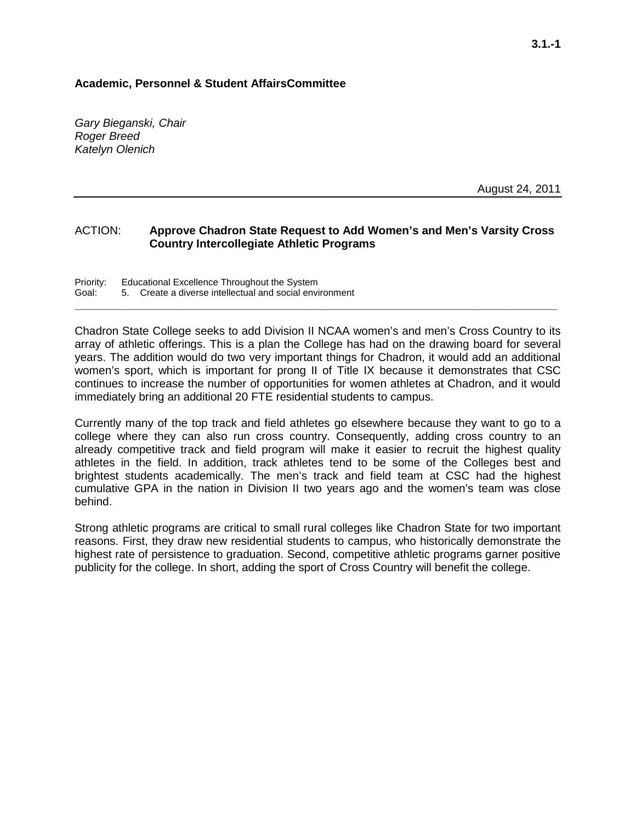#### **Academic, Personnel & Student AffairsCommittee**

*Gary Bieganski, Chair Roger Breed Katelyn Olenich*

August 24, 2011

#### ACTION: **Approve Chadron State Request to Add Women's and Men's Varsity Cross Country Intercollegiate Athletic Programs**

**\_\_\_\_\_\_\_\_\_\_\_\_\_\_\_\_\_\_\_\_\_\_\_\_\_\_\_\_\_\_\_\_\_\_\_\_\_\_\_\_\_\_\_\_\_\_\_\_\_\_\_\_\_\_\_\_\_\_\_\_\_\_\_\_\_\_\_\_\_\_\_\_\_\_\_\_**

Priority: Educational Excellence Throughout the System<br>Goal: 5. Create a diverse intellectual and social envi 5. Create a diverse intellectual and social environment

Chadron State College seeks to add Division II NCAA women's and men's Cross Country to its array of athletic offerings. This is a plan the College has had on the drawing board for several years. The addition would do two very important things for Chadron, it would add an additional women's sport, which is important for prong II of Title IX because it demonstrates that CSC continues to increase the number of opportunities for women athletes at Chadron, and it would immediately bring an additional 20 FTE residential students to campus.

Currently many of the top track and field athletes go elsewhere because they want to go to a college where they can also run cross country. Consequently, adding cross country to an already competitive track and field program will make it easier to recruit the highest quality athletes in the field. In addition, track athletes tend to be some of the Colleges best and brightest students academically. The men's track and field team at CSC had the highest cumulative GPA in the nation in Division II two years ago and the women's team was close behind.

Strong athletic programs are critical to small rural colleges like Chadron State for two important reasons. First, they draw new residential students to campus, who historically demonstrate the highest rate of persistence to graduation. Second, competitive athletic programs garner positive publicity for the college. In short, adding the sport of Cross Country will benefit the college.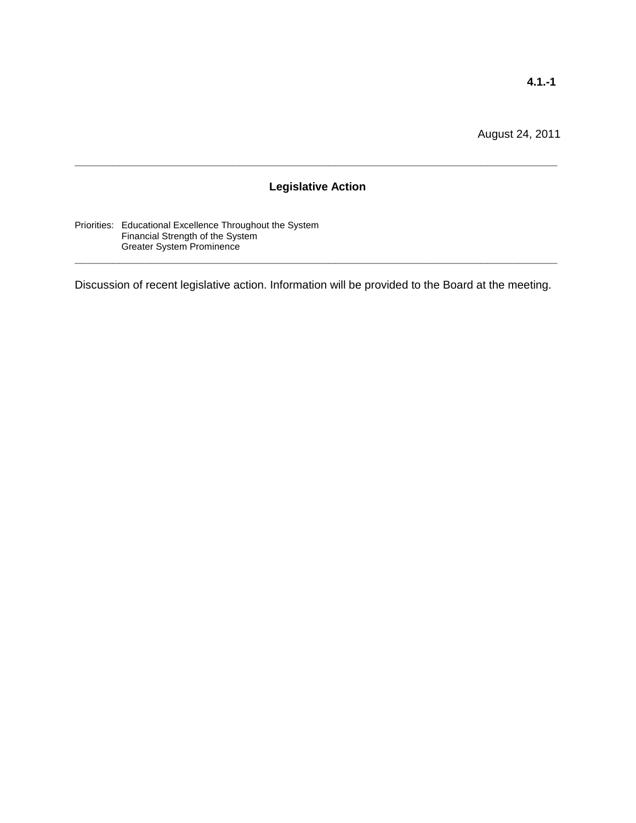### **Legislative Action**

**\_\_\_\_\_\_\_\_\_\_\_\_\_\_\_\_\_\_\_\_\_\_\_\_\_\_\_\_\_\_\_\_\_\_\_\_\_\_\_\_\_\_\_\_\_\_\_\_\_\_\_\_\_\_\_\_\_\_\_\_\_\_\_\_\_\_\_\_\_\_\_\_\_\_\_\_**

Priorities: Educational Excellence Throughout the System Financial Strength of the System Greater System Prominence

Discussion of recent legislative action. Information will be provided to the Board at the meeting.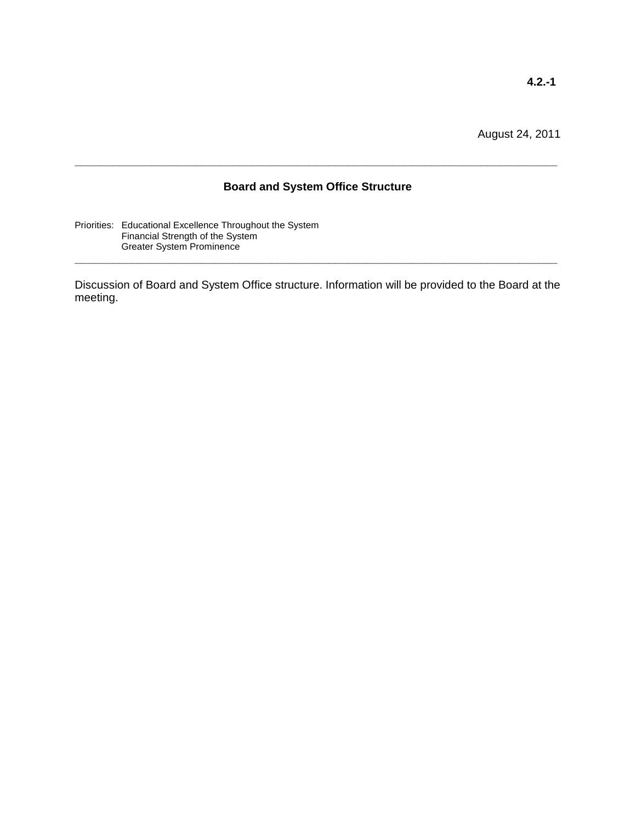#### **Board and System Office Structure**

**\_\_\_\_\_\_\_\_\_\_\_\_\_\_\_\_\_\_\_\_\_\_\_\_\_\_\_\_\_\_\_\_\_\_\_\_\_\_\_\_\_\_\_\_\_\_\_\_\_\_\_\_\_\_\_\_\_\_\_\_\_\_\_\_\_\_\_\_\_\_\_\_\_\_\_\_**

Priorities: Educational Excellence Throughout the System Financial Strength of the System Greater System Prominence

Discussion of Board and System Office structure. Information will be provided to the Board at the meeting.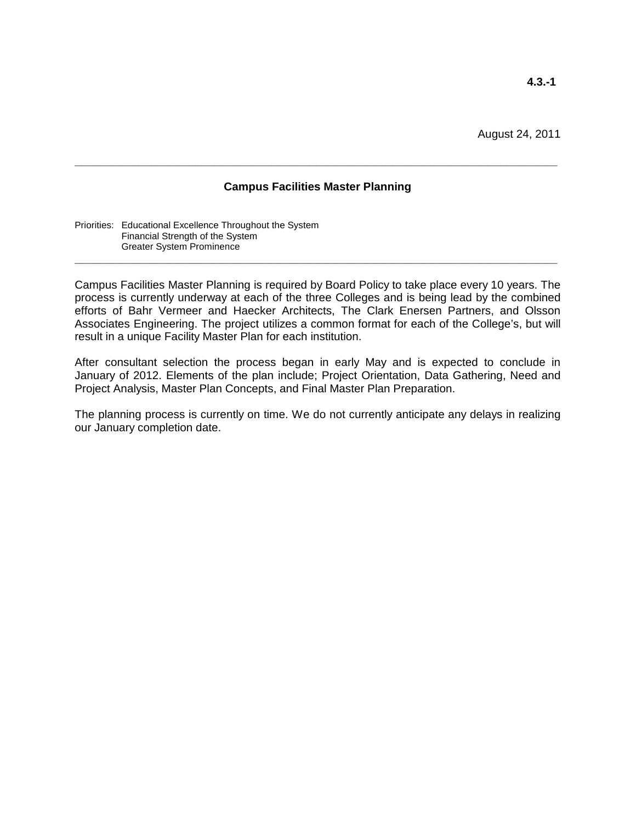#### **Campus Facilities Master Planning**

**\_\_\_\_\_\_\_\_\_\_\_\_\_\_\_\_\_\_\_\_\_\_\_\_\_\_\_\_\_\_\_\_\_\_\_\_\_\_\_\_\_\_\_\_\_\_\_\_\_\_\_\_\_\_\_\_\_\_\_\_\_\_\_\_\_\_\_\_\_\_\_\_\_\_\_\_**

Priorities: Educational Excellence Throughout the System Financial Strength of the System Greater System Prominence

Campus Facilities Master Planning is required by Board Policy to take place every 10 years. The process is currently underway at each of the three Colleges and is being lead by the combined efforts of Bahr Vermeer and Haecker Architects, The Clark Enersen Partners, and Olsson Associates Engineering. The project utilizes a common format for each of the College's, but will result in a unique Facility Master Plan for each institution.

**\_\_\_\_\_\_\_\_\_\_\_\_\_\_\_\_\_\_\_\_\_\_\_\_\_\_\_\_\_\_\_\_\_\_\_\_\_\_\_\_\_\_\_\_\_\_\_\_\_\_\_\_\_\_\_\_\_\_\_\_\_\_\_\_\_\_\_\_\_\_\_\_\_\_\_\_**

After consultant selection the process began in early May and is expected to conclude in January of 2012. Elements of the plan include; Project Orientation, Data Gathering, Need and Project Analysis, Master Plan Concepts, and Final Master Plan Preparation.

The planning process is currently on time. We do not currently anticipate any delays in realizing our January completion date.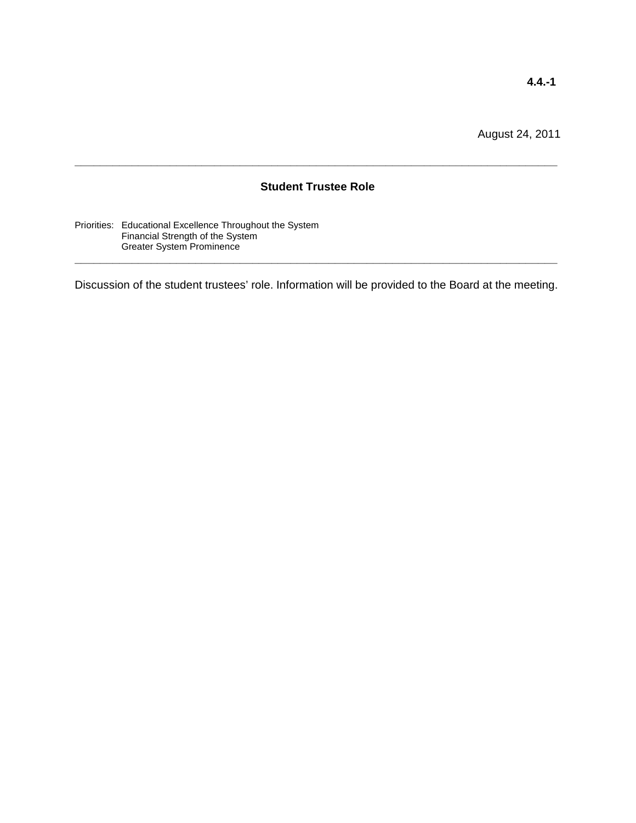#### **Student Trustee Role**

**\_\_\_\_\_\_\_\_\_\_\_\_\_\_\_\_\_\_\_\_\_\_\_\_\_\_\_\_\_\_\_\_\_\_\_\_\_\_\_\_\_\_\_\_\_\_\_\_\_\_\_\_\_\_\_\_\_\_\_\_\_\_\_\_\_\_\_\_\_\_\_\_\_\_\_\_**

Priorities: Educational Excellence Throughout the System Financial Strength of the System Greater System Prominence

Discussion of the student trustees' role. Information will be provided to the Board at the meeting.